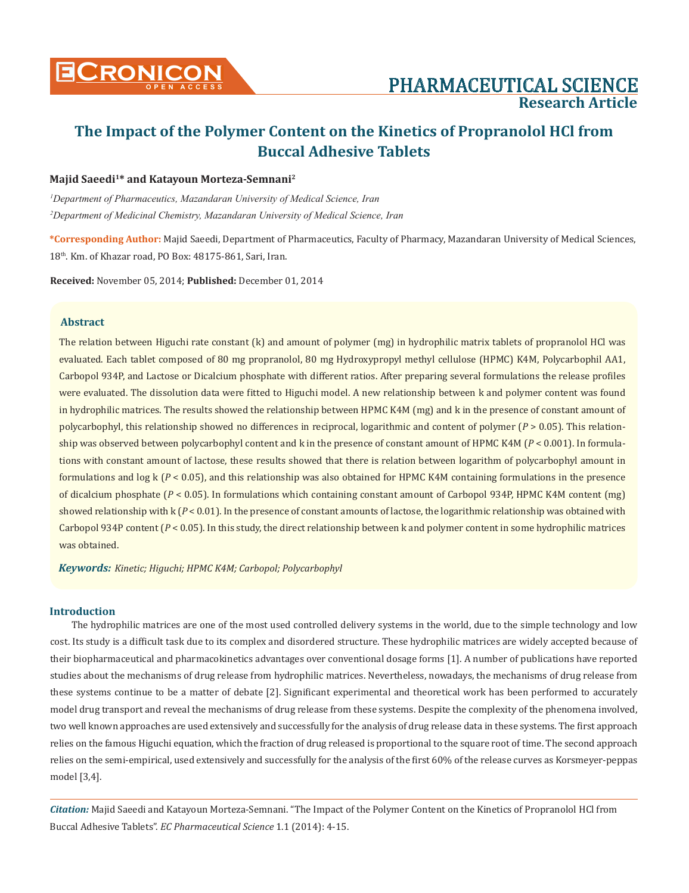

# **Research Article**

# **The Impact of the Polymer Content on the Kinetics of Propranolol HCl from Buccal Adhesive Tablets**

#### **Majid Saeedi1\* and Katayoun Morteza-Semnani2**

*1 Department of Pharmaceutics, Mazandaran University of Medical Science, Iran* <sup>2</sup>Department of Medicinal Chemistry, Mazandaran University of Medical Science, Iran

**\*Corresponding Author:** Majid Saeedi, Department of Pharmaceutics, Faculty of Pharmacy, Mazandaran University of Medical Sciences, 18th. Km. of Khazar road, PO Box: 48175-861, Sari, Iran.

**Received:** November 05, 2014; **Published:** December 01, 2014

# **Abstract**

The relation between Higuchi rate constant (k) and amount of polymer (mg) in hydrophilic matrix tablets of propranolol HCl was evaluated. Each tablet composed of 80 mg propranolol, 80 mg Hydroxypropyl methyl cellulose (HPMC) K4M, Polycarbophil AA1, Carbopol 934P, and Lactose or Dicalcium phosphate with different ratios. After preparing several formulations the release profiles were evaluated. The dissolution data were fitted to Higuchi model. A new relationship between k and polymer content was found in hydrophilic matrices. The results showed the relationship between HPMC K4M (mg) and k in the presence of constant amount of polycarbophyl, this relationship showed no differences in reciprocal, logarithmic and content of polymer (*P* > 0.05). This relationship was observed between polycarbophyl content and k in the presence of constant amount of HPMC K4M (*P* < 0.001). In formulations with constant amount of lactose, these results showed that there is relation between logarithm of polycarbophyl amount in formulations and log k (*P* < 0.05), and this relationship was also obtained for HPMC K4M containing formulations in the presence of dicalcium phosphate (*P* < 0.05). In formulations which containing constant amount of Carbopol 934P, HPMC K4M content (mg) showed relationship with k (*P* < 0.01). In the presence of constant amounts of lactose, the logarithmic relationship was obtained with Carbopol 934P content (*P* < 0.05). In this study, the direct relationship between k and polymer content in some hydrophilic matrices was obtained.

*Keywords: Kinetic; Higuchi; HPMC K4M; Carbopol; Polycarbophyl*

#### **Introduction**

The hydrophilic matrices are one of the most used controlled delivery systems in the world, due to the simple technology and low cost. Its study is a difficult task due to its complex and disordered structure. These hydrophilic matrices are widely accepted because of their biopharmaceutical and pharmacokinetics advantages over conventional dosage forms [1]. A number of publications have reported studies about the mechanisms of drug release from hydrophilic matrices. Nevertheless, nowadays, the mechanisms of drug release from these systems continue to be a matter of debate [2]. Significant experimental and theoretical work has been performed to accurately model drug transport and reveal the mechanisms of drug release from these systems. Despite the complexity of the phenomena involved, two well known approaches are used extensively and successfully for the analysis of drug release data in these systems. The first approach relies on the famous Higuchi equation, which the fraction of drug released is proportional to the square root of time. The second approach relies on the semi-empirical, used extensively and successfully for the analysis of the first 60% of the release curves as Korsmeyer-peppas model [3,4].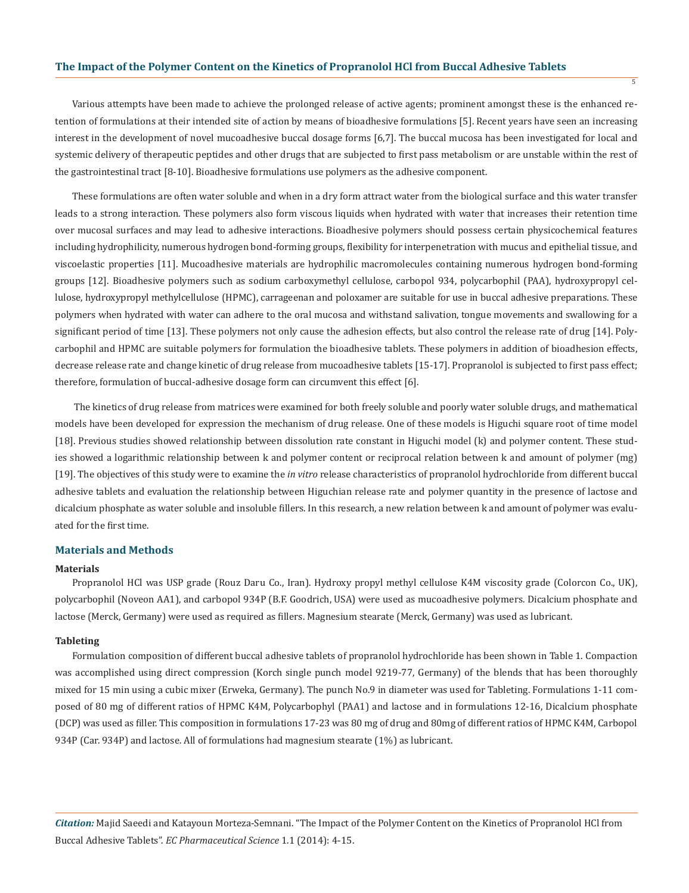Various attempts have been made to achieve the prolonged release of active agents; prominent amongst these is the enhanced retention of formulations at their intended site of action by means of bioadhesive formulations [5]. Recent years have seen an increasing interest in the development of novel mucoadhesive buccal dosage forms [6,7]. The buccal mucosa has been investigated for local and systemic delivery of therapeutic peptides and other drugs that are subjected to first pass metabolism or are unstable within the rest of the gastrointestinal tract [8-10]. Bioadhesive formulations use polymers as the adhesive component.

 $\overline{\mathbf{5}}$ 

These formulations are often water soluble and when in a dry form attract water from the biological surface and this water transfer leads to a strong interaction. These polymers also form viscous liquids when hydrated with water that increases their retention time over mucosal surfaces and may lead to adhesive interactions. Bioadhesive polymers should possess certain physicochemical features including hydrophilicity, numerous hydrogen bond-forming groups, flexibility for interpenetration with mucus and epithelial tissue, and viscoelastic properties [11]. Mucoadhesive materials are hydrophilic macromolecules containing numerous hydrogen bond-forming groups [12]. Bioadhesive polymers such as sodium carboxymethyl cellulose, carbopol 934, polycarbophil (PAA), hydroxypropyl cellulose, hydroxypropyl methylcellulose (HPMC), carrageenan and poloxamer are suitable for use in buccal adhesive preparations. These polymers when hydrated with water can adhere to the oral mucosa and withstand salivation, tongue movements and swallowing for a significant period of time [13]. These polymers not only cause the adhesion effects, but also control the release rate of drug [14]. Polycarbophil and HPMC are suitable polymers for formulation the bioadhesive tablets. These polymers in addition of bioadhesion effects, decrease release rate and change kinetic of drug release from mucoadhesive tablets [15-17]. Propranolol is subjected to first pass effect; therefore, formulation of buccal-adhesive dosage form can circumvent this effect [6].

 The kinetics of drug release from matrices were examined for both freely soluble and poorly water soluble drugs, and mathematical models have been developed for expression the mechanism of drug release. One of these models is Higuchi square root of time model [18]. Previous studies showed relationship between dissolution rate constant in Higuchi model (k) and polymer content. These studies showed a logarithmic relationship between k and polymer content or reciprocal relation between k and amount of polymer (mg) [19]. The objectives of this study were to examine the *in vitro* release characteristics of propranolol hydrochloride from different buccal adhesive tablets and evaluation the relationship between Higuchian release rate and polymer quantity in the presence of lactose and dicalcium phosphate as water soluble and insoluble fillers. In this research, a new relation between k and amount of polymer was evaluated for the first time.

#### **Materials and Methods**

#### **Materials**

Propranolol HCl was USP grade (Rouz Daru Co., Iran). Hydroxy propyl methyl cellulose K4M viscosity grade (Colorcon Co., UK), polycarbophil (Noveon AA1), and carbopol 934P (B.F. Goodrich, USA) were used as mucoadhesive polymers. Dicalcium phosphate and lactose (Merck, Germany) were used as required as fillers. Magnesium stearate (Merck, Germany) was used as lubricant.

#### **Tableting**

Formulation composition of different buccal adhesive tablets of propranolol hydrochloride has been shown in Table 1. Compaction was accomplished using direct compression (Korch single punch model 9219-77, Germany) of the blends that has been thoroughly mixed for 15 min using a cubic mixer (Erweka, Germany). The punch No.9 in diameter was used for Tableting. Formulations 1-11 composed of 80 mg of different ratios of HPMC K4M, Polycarbophyl (PAA1) and lactose and in formulations 12-16, Dicalcium phosphate (DCP) was used as filler. This composition in formulations 17-23 was 80 mg of drug and 80mg of different ratios of HPMC K4M, Carbopol 934P (Car. 934P) and lactose. All of formulations had magnesium stearate (1%) as lubricant.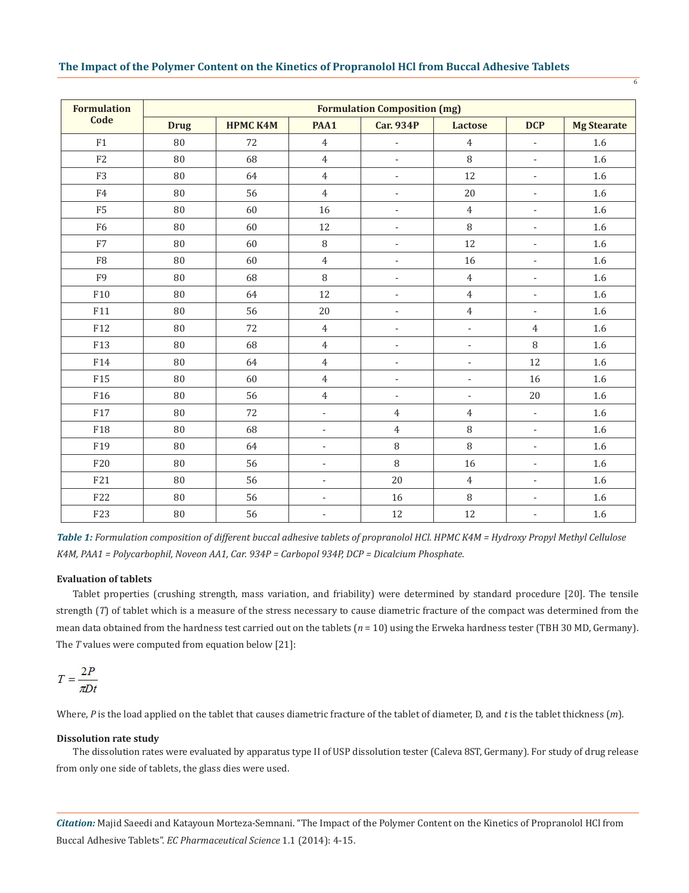| <b>Formulation</b><br>Code | <b>Formulation Composition (mg)</b> |                 |                          |                          |                          |                          |                    |  |  |
|----------------------------|-------------------------------------|-----------------|--------------------------|--------------------------|--------------------------|--------------------------|--------------------|--|--|
|                            | <b>Drug</b>                         | <b>HPMC K4M</b> | PAA1                     | <b>Car. 934P</b>         | Lactose                  | <b>DCP</b>               | <b>Mg Stearate</b> |  |  |
| F1                         | 80                                  | 72              | $\overline{4}$           | $\overline{\phantom{a}}$ | $\overline{4}$           | $\overline{\phantom{a}}$ | 1.6                |  |  |
| F2                         | 80                                  | 68              | $\overline{4}$           |                          | 8                        | $\overline{\phantom{a}}$ | 1.6                |  |  |
| F <sub>3</sub>             | 80                                  | 64              | $\overline{4}$           |                          | 12                       | $\overline{\phantom{a}}$ | 1.6                |  |  |
| ${\rm F}4$                 | 80                                  | 56              | $\overline{4}$           |                          | 20                       | $\overline{\phantom{a}}$ | 1.6                |  |  |
| F <sub>5</sub>             | 80                                  | 60              | 16                       |                          | $\overline{4}$           | $\overline{\phantom{a}}$ | 1.6                |  |  |
| F <sub>6</sub>             | 80                                  | 60              | 12                       | $\overline{\phantom{a}}$ | $\, 8$                   | $\overline{\phantom{a}}$ | 1.6                |  |  |
| ${\rm F}7$                 | $\rm 80$                            | 60              | $\, 8$                   |                          | 12                       | $\overline{\phantom{a}}$ | 1.6                |  |  |
| F <sub>8</sub>             | 80                                  | 60              | $\overline{4}$           |                          | 16                       | $\overline{\phantom{a}}$ | 1.6                |  |  |
| F <sub>9</sub>             | 80                                  | 68              | $\, 8$                   |                          | $\overline{4}$           | $\sim$                   | 1.6                |  |  |
| F10                        | 80                                  | 64              | 12                       | $\overline{\phantom{a}}$ | $\overline{4}$           | $\overline{\phantom{a}}$ | 1.6                |  |  |
| F11                        | 80                                  | 56              | 20                       | $\overline{\phantom{a}}$ | $\overline{4}$           | $\overline{\phantom{a}}$ | 1.6                |  |  |
| F12                        | 80                                  | 72              | $\overline{4}$           | $\overline{\phantom{a}}$ | $\Box$                   | $\overline{4}$           | 1.6                |  |  |
| F13                        | 80                                  | 68              | $\overline{4}$           | $\blacksquare$           | $\Box$                   | $\, 8$                   | 1.6                |  |  |
| F14                        | 80                                  | 64              | $\overline{4}$           | $\overline{\phantom{a}}$ | $\overline{\phantom{a}}$ | 12                       | 1.6                |  |  |
| F15                        | 80                                  | 60              | $\overline{4}$           | $\blacksquare$           | $\blacksquare$           | 16                       | $1.6\,$            |  |  |
| F16                        | 80                                  | 56              | $\overline{4}$           | $\overline{\phantom{a}}$ | $\blacksquare$           | 20                       | 1.6                |  |  |
| F17                        | 80                                  | 72              | $\overline{\phantom{a}}$ | $\overline{4}$           | $\overline{4}$           | $\overline{\phantom{a}}$ | 1.6                |  |  |
| F18                        | 80                                  | 68              | $\overline{\phantom{a}}$ | $\overline{4}$           | $\, 8$                   | $\overline{\phantom{a}}$ | 1.6                |  |  |
| F19                        | 80                                  | 64              | $\overline{\phantom{a}}$ | $\, 8$                   | 8                        | $\overline{\phantom{a}}$ | 1.6                |  |  |
| F20                        | 80                                  | 56              | ÷                        | $\, 8$                   | 16                       | $\overline{\phantom{a}}$ | 1.6                |  |  |
| F21                        | 80                                  | 56              | $\overline{\phantom{a}}$ | 20                       | $\overline{4}$           | $\overline{\phantom{a}}$ | 1.6                |  |  |
| F22                        | 80                                  | 56              | $\overline{\phantom{a}}$ | 16                       | $\, 8$                   | $\overline{\phantom{a}}$ | 1.6                |  |  |
| F23                        | 80                                  | 56              | $\overline{\phantom{a}}$ | 12                       | 12                       | $\overline{\phantom{a}}$ | 1.6                |  |  |

6

*Table 1: Formulation composition of different buccal adhesive tablets of propranolol HCl. HPMC K4M = Hydroxy Propyl Methyl Cellulose K4M, PAA1 = Polycarbophil, Noveon AA1, Car. 934P = Carbopol 934P, DCP = Dicalcium Phosphate.*

### **Evaluation of tablets**

Tablet properties (crushing strength, mass variation, and friability) were determined by standard procedure [20]. The tensile strength (*T*) of tablet which is a measure of the stress necessary to cause diametric fracture of the compact was determined from the mean data obtained from the hardness test carried out on the tablets ( $n = 10$ ) using the Erweka hardness tester (TBH 30 MD, Germany). The *T* values were computed from equation below [21]:

$$
T=\frac{2P}{\pi Dt}
$$

Where, *P* is the load applied on the tablet that causes diametric fracture of the tablet of diameter, D, and *t* is the tablet thickness (*m*).

#### **Dissolution rate study**

The dissolution rates were evaluated by apparatus type II of USP dissolution tester (Caleva 8ST, Germany). For study of drug release from only one side of tablets, the glass dies were used.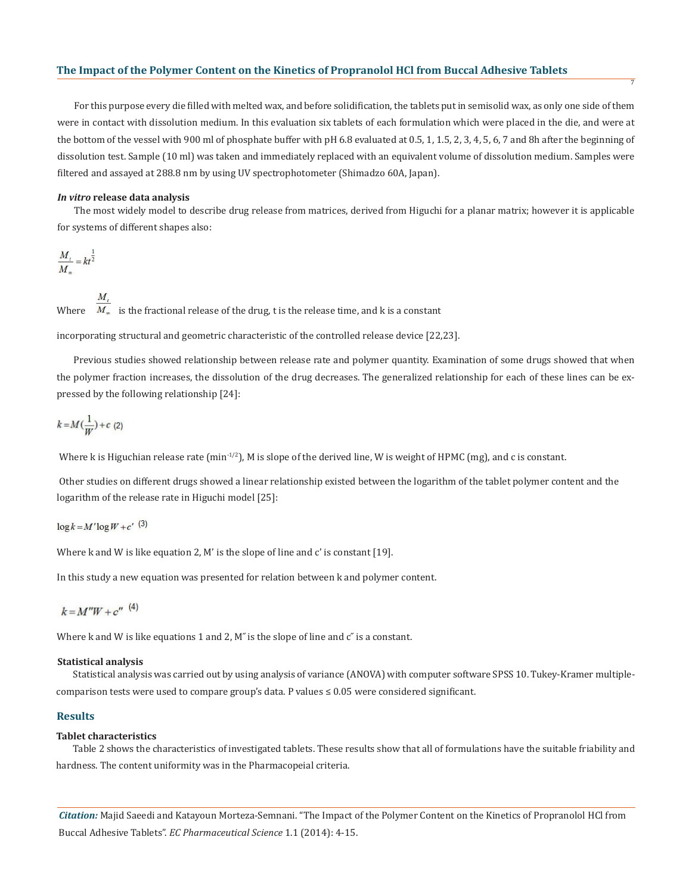For this purpose every die filled with melted wax, and before solidification, the tablets put in semisolid wax, as only one side of them were in contact with dissolution medium. In this evaluation six tablets of each formulation which were placed in the die, and were at the bottom of the vessel with 900 ml of phosphate buffer with pH 6.8 evaluated at 0.5, 1, 1.5, 2, 3, 4, 5, 6, 7 and 8h after the beginning of dissolution test. Sample (10 ml) was taken and immediately replaced with an equivalent volume of dissolution medium. Samples were filtered and assayed at 288.8 nm by using UV spectrophotometer (Shimadzo 60A, Japan).

7

#### *In vitro* **release data analysis**

The most widely model to describe drug release from matrices, derived from Higuchi for a planar matrix; however it is applicable for systems of different shapes also:

$$
\frac{M_t}{M_\infty} = kt^{\frac{1}{2}}
$$

 $M_{i}$ Where  $\overline{M_{\infty}}$  is the fractional release of the drug, t is the release time, and k is a constant

incorporating structural and geometric characteristic of the controlled release device [22,23].

Previous studies showed relationship between release rate and polymer quantity. Examination of some drugs showed that when the polymer fraction increases, the dissolution of the drug decreases. The generalized relationship for each of these lines can be expressed by the following relationship [24]:

$$
k = M\left(\frac{1}{W}\right) + c
$$
 (2)

Where k is Higuchian release rate  $(\text{min}^{-1/2})$ , M is slope of the derived line, W is weight of HPMC  $(\text{mg})$ , and c is constant.

 Other studies on different drugs showed a linear relationship existed between the logarithm of the tablet polymer content and the logarithm of the release rate in Higuchi model [25]:

 $\log k = M' \log W + c'$ <sup>(3)</sup>

Where k and W is like equation 2, M' is the slope of line and c' is constant [19].

In this study a new equation was presented for relation between k and polymer content.

$$
k = M''W + c''
$$
<sup>(4)</sup>

Where  $k$  and  $W$  is like equations 1 and 2,  $M''$  is the slope of line and  $c''$  is a constant.

#### **Statistical analysis**

Statistical analysis was carried out by using analysis of variance (ANOVA) with computer software SPSS 10. Tukey-Kramer multiplecomparison tests were used to compare group's data. P values ≤ 0.05 were considered significant.

# **Results**

#### **Tablet characteristics**

Table 2 shows the characteristics of investigated tablets. These results show that all of formulations have the suitable friability and hardness. The content uniformity was in the Pharmacopeial criteria.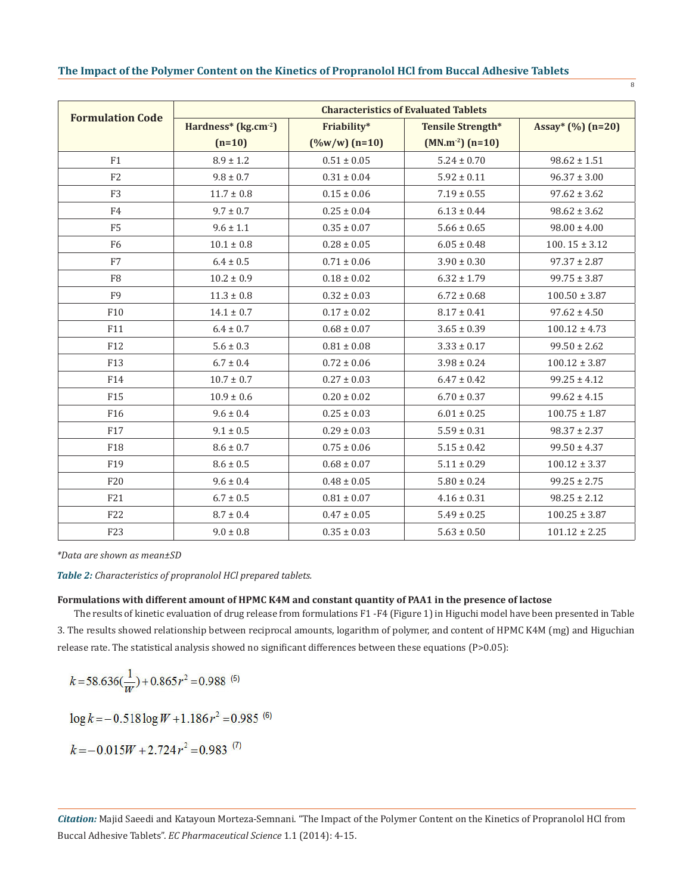|  |  | The Impact of the Polymer Content on the Kinetics of Propranolol HCl from Buccal Adhesive Tablets |  |  |
|--|--|---------------------------------------------------------------------------------------------------|--|--|
|  |  |                                                                                                   |  |  |

 $\frac{1}{8}$ 

|                         | <b>Characteristics of Evaluated Tablets</b> |                           |                          |                     |  |  |  |
|-------------------------|---------------------------------------------|---------------------------|--------------------------|---------------------|--|--|--|
| <b>Formulation Code</b> | Hardness* (kg.cm <sup>-2</sup> )            | Friability*               | <b>Tensile Strength*</b> | Assay* $(\%)(n=20)$ |  |  |  |
|                         | $(n=10)$                                    | $(\frac{9}{6}w/w)$ (n=10) | $(MN.m^{-2}) (n=10)$     |                     |  |  |  |
| F1                      | $8.9 \pm 1.2$                               | $0.51 \pm 0.05$           | $5.24 \pm 0.70$          | $98.62 \pm 1.51$    |  |  |  |
| F <sub>2</sub>          | $9.8 \pm 0.7$                               | $0.31 \pm 0.04$           | $5.92 \pm 0.11$          | $96.37 \pm 3.00$    |  |  |  |
| F <sub>3</sub>          | $11.7 \pm 0.8$                              | $0.15 \pm 0.06$           | $7.19 \pm 0.55$          | $97.62 \pm 3.62$    |  |  |  |
| F4                      | $9.7 \pm 0.7$                               | $0.25 \pm 0.04$           | $6.13 \pm 0.44$          | $98.62 \pm 3.62$    |  |  |  |
| F <sub>5</sub>          | $9.6 \pm 1.1$                               | $0.35 \pm 0.07$           | $5.66 \pm 0.65$          | $98.00 \pm 4.00$    |  |  |  |
| F <sub>6</sub>          | $10.1 \pm 0.8$                              | $0.28 \pm 0.05$           | $6.05 \pm 0.48$          | $100.15 \pm 3.12$   |  |  |  |
| F7                      | $6.4 \pm 0.5$                               | $0.71 \pm 0.06$           | $3.90 \pm 0.30$          | $97.37 \pm 2.87$    |  |  |  |
| F <sub>8</sub>          | $10.2 \pm 0.9$                              | $0.18 \pm 0.02$           | $6.32 \pm 1.79$          | $99.75 \pm 3.87$    |  |  |  |
| F <sub>9</sub>          | $11.3 \pm 0.8$                              | $0.32 \pm 0.03$           | $6.72 \pm 0.68$          | $100.50 \pm 3.87$   |  |  |  |
| F <sub>10</sub>         | $14.1 \pm 0.7$                              | $0.17 \pm 0.02$           | $8.17 \pm 0.41$          | $97.62 \pm 4.50$    |  |  |  |
| F11                     | $6.4 \pm 0.7$                               | $0.68 \pm 0.07$           | $3.65 \pm 0.39$          | $100.12 \pm 4.73$   |  |  |  |
| F <sub>12</sub>         | $5.6 \pm 0.3$                               | $0.81 \pm 0.08$           | $3.33 \pm 0.17$          | $99.50 \pm 2.62$    |  |  |  |
| F13                     | $6.7 \pm 0.4$                               | $0.72 \pm 0.06$           | $3.98 \pm 0.24$          | $100.12 \pm 3.87$   |  |  |  |
| F14                     | $10.7 \pm 0.7$                              | $0.27 \pm 0.03$           | $6.47 \pm 0.42$          | $99.25 \pm 4.12$    |  |  |  |
| F <sub>15</sub>         | $10.9 \pm 0.6$                              | $0.20 \pm 0.02$           | $6.70 \pm 0.37$          | $99.62 \pm 4.15$    |  |  |  |
| F <sub>16</sub>         | $9.6 \pm 0.4$                               | $0.25 \pm 0.03$           | $6.01 \pm 0.25$          | $100.75 \pm 1.87$   |  |  |  |
| F17                     | $9.1 \pm 0.5$                               | $0.29 \pm 0.03$           | $5.59 \pm 0.31$          | $98.37 \pm 2.37$    |  |  |  |
| F18                     | $8.6 \pm 0.7$                               | $0.75 \pm 0.06$           | $5.15 \pm 0.42$          | $99.50 \pm 4.37$    |  |  |  |
| F <sub>19</sub>         | $8.6 \pm 0.5$                               | $0.68 \pm 0.07$           | $5.11 \pm 0.29$          | $100.12 \pm 3.37$   |  |  |  |
| F20                     | $9.6 \pm 0.4$                               | $0.48 \pm 0.05$           | $5.80 \pm 0.24$          | $99.25 \pm 2.75$    |  |  |  |
| F21                     | $6.7 \pm 0.5$                               | $0.81 \pm 0.07$           | $4.16 \pm 0.31$          | $98.25 \pm 2.12$    |  |  |  |
| F22                     | $8.7 \pm 0.4$                               | $0.47 \pm 0.05$           | $5.49 \pm 0.25$          | $100.25 \pm 3.87$   |  |  |  |
| F23                     | $9.0 \pm 0.8$                               | $0.35 \pm 0.03$           | $5.63 \pm 0.50$          | $101.12 \pm 2.25$   |  |  |  |

*\*Data are shown as mean±SD*

*Table 2: Characteristics of propranolol HCl prepared tablets.*

#### **Formulations with different amount of HPMC K4M and constant quantity of PAA1 in the presence of lactose**

The results of kinetic evaluation of drug release from formulations F1 -F4 (Figure 1) in Higuchi model have been presented in Table 3. The results showed relationship between reciprocal amounts, logarithm of polymer, and content of HPMC K4M (mg) and Higuchian release rate. The statistical analysis showed no significant differences between these equations (P>0.05):

$$
k = 58.636(\frac{1}{W}) + 0.865r^2 = 0.988^{(6)}
$$

 $\log k = -0.518 \log W + 1.186 r^2 = 0.985$ <sup>(6)</sup>

 $k = -0.015W + 2.724r^2 = 0.983$ <sup>(7)</sup>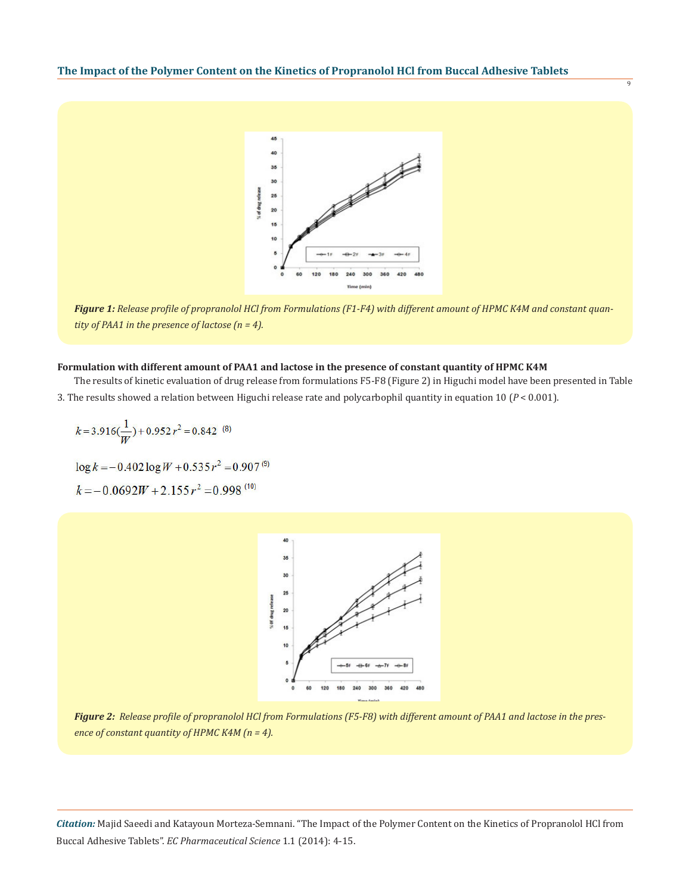

9

*Figure 1: Release profile of propranolol HCl from Formulations (F1-F4) with different amount of HPMC K4M and constant quantity of PAA1 in the presence of lactose (n = 4).*

### **Formulation with different amount of PAA1 and lactose in the presence of constant quantity of HPMC K4M**

The results of kinetic evaluation of drug release from formulations F5-F8 (Figure 2) in Higuchi model have been presented in Table 3. The results showed a relation between Higuchi release rate and polycarbophil quantity in equation 10 (*P* < 0.001).

$$
k = 3.916\left(\frac{1}{W}\right) + 0.952 r^2 = 0.842 \, (8)
$$

 $\log k = -0.402 \log W + 0.535 r^2 = 0.907^{(9)}$ 

 $k = -0.0692W + 2.155r^2 = 0.998$ <sup>(10)</sup>



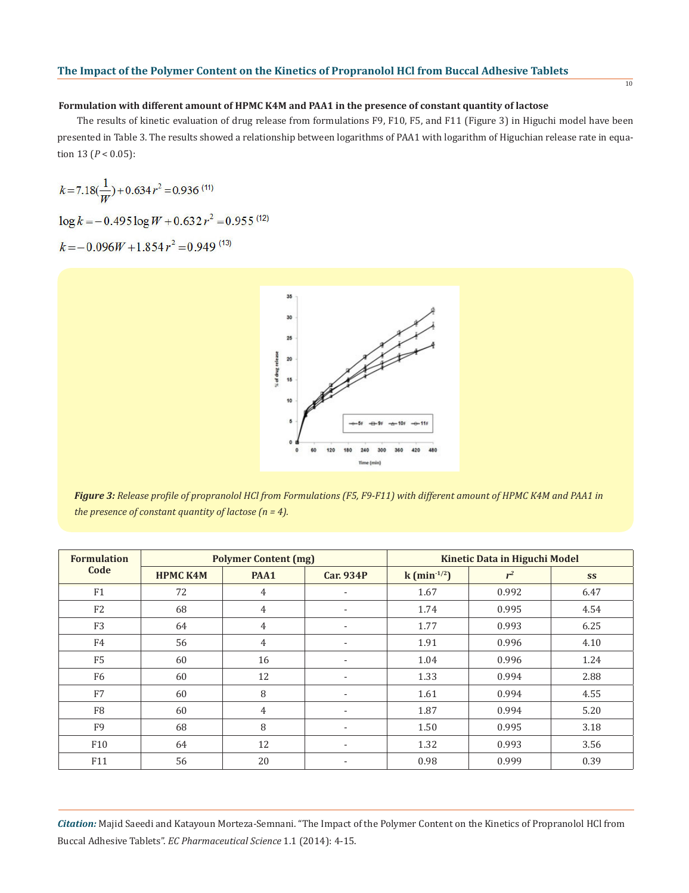#### **Formulation with different amount of HPMC K4M and PAA1 in the presence of constant quantity of lactose**

 The results of kinetic evaluation of drug release from formulations F9, F10, F5, and F11 (Figure 3) in Higuchi model have been presented in Table 3. The results showed a relationship between logarithms of PAA1 with logarithm of Higuchian release rate in equation 13 (*P* < 0.05):

$$
k=7.18(\frac{1}{W})+0.634r^2=0.936
$$
 (11)

 $\log k = -0.495 \log W + 0.632 r^2 = 0.955^{(12)}$ 

 $k = -0.096W + 1.854r^2 = 0.949$ <sup>(13)</sup>



*Figure 3: Release profile of propranolol HCl from Formulations (F5, F9-F11) with different amount of HPMC K4M and PAA1 in the presence of constant quantity of lactose (n = 4).*

| <b>Formulation</b> | <b>Polymer Content (mg)</b> |                |                  | <b>Kinetic Data in Higuchi Model</b> |       |      |
|--------------------|-----------------------------|----------------|------------------|--------------------------------------|-------|------|
| Code               | <b>HPMC K4M</b>             | PAA1           | <b>Car. 934P</b> | $k \, (\text{min}^{-1/2})$           | $r^2$ | SS   |
| F1                 | 72                          | $\overline{4}$ |                  | 1.67                                 | 0.992 | 6.47 |
| F <sub>2</sub>     | 68                          | $\overline{4}$ | ٠                | 1.74                                 | 0.995 | 4.54 |
| F <sub>3</sub>     | 64                          | $\overline{4}$ | ۰                | 1.77                                 | 0.993 | 6.25 |
| F4                 | 56                          | $\overline{4}$ | ۰                | 1.91                                 | 0.996 | 4.10 |
| F <sub>5</sub>     | 60                          | 16             | ٠                | 1.04                                 | 0.996 | 1.24 |
| F <sub>6</sub>     | 60                          | 12             | ٠                | 1.33                                 | 0.994 | 2.88 |
| F7                 | 60                          | 8              |                  | 1.61                                 | 0.994 | 4.55 |
| F <sub>8</sub>     | 60                          | $\overline{4}$ |                  | 1.87                                 | 0.994 | 5.20 |
| F <sub>9</sub>     | 68                          | 8              | ۰                | 1.50                                 | 0.995 | 3.18 |
| F10                | 64                          | 12             | ۰                | 1.32                                 | 0.993 | 3.56 |
| F11                | 56                          | 20             |                  | 0.98                                 | 0.999 | 0.39 |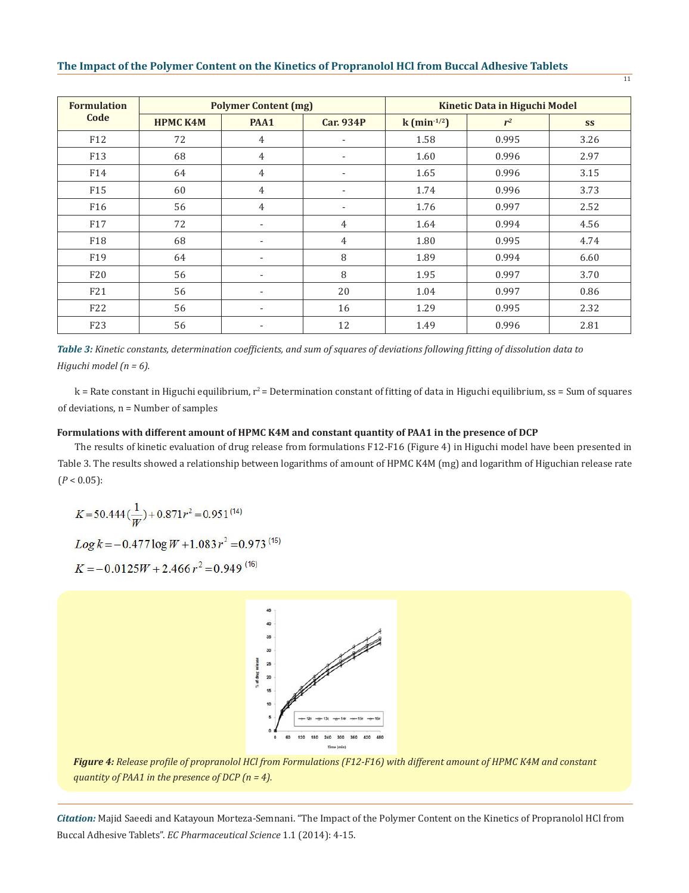| <b>Formulation</b><br>Code | <b>Polymer Content (mg)</b> |                |                  | <b>Kinetic Data in Higuchi Model</b> |       |      |
|----------------------------|-----------------------------|----------------|------------------|--------------------------------------|-------|------|
|                            | <b>HPMC K4M</b>             | PAA1           | <b>Car. 934P</b> | $k$ (min <sup>-1/2</sup> )           | $r^2$ | SS   |
| F <sub>12</sub>            | 72                          | 4              | ٠                | 1.58                                 | 0.995 | 3.26 |
| F13                        | 68                          | $\overline{4}$ | ٠                | 1.60                                 | 0.996 | 2.97 |
| F14                        | 64                          | 4              | ۰                | 1.65                                 | 0.996 | 3.15 |
| F15                        | 60                          | $\overline{4}$ | ۰.               | 1.74                                 | 0.996 | 3.73 |
| F <sub>16</sub>            | 56                          | $\overline{4}$ | ٠                | 1.76                                 | 0.997 | 2.52 |
| F <sub>17</sub>            | 72                          | ٠              | 4                | 1.64                                 | 0.994 | 4.56 |
| F18                        | 68                          | ٠              | 4                | 1.80                                 | 0.995 | 4.74 |
| F <sub>19</sub>            | 64                          |                | 8                | 1.89                                 | 0.994 | 6.60 |
| F20                        | 56                          | ٠              | 8                | 1.95                                 | 0.997 | 3.70 |
| F21                        | 56                          | ٠              | 20               | 1.04                                 | 0.997 | 0.86 |
| F22                        | 56                          | ٠              | 16               | 1.29                                 | 0.995 | 2.32 |
| F <sub>23</sub>            | 56                          | ٠              | 12               | 1.49                                 | 0.996 | 2.81 |

*Table 3: Kinetic constants, determination coefficients, and sum of squares of deviations following fitting of dissolution data to Higuchi model (n = 6).*

 $k$  = Rate constant in Higuchi equilibrium,  $r^2$  = Determination constant of fitting of data in Higuchi equilibrium, ss = Sum of squares of deviations, n = Number of samples

# **Formulations with different amount of HPMC K4M and constant quantity of PAA1 in the presence of DCP**

The results of kinetic evaluation of drug release from formulations F12-F16 (Figure 4) in Higuchi model have been presented in Table 3. The results showed a relationship between logarithms of amount of HPMC K4M (mg) and logarithm of Higuchian release rate  $(P < 0.05)$ :

$$
K = 50.444 \left(\frac{1}{W}\right) + 0.871 r^2 = 0.951^{(14)}
$$

 $Log k = -0.477 log W + 1.083 r^2 = 0.973^{(15)}$ 

$$
K = -0.0125W + 2.466r^2 = 0.949^{(16)}
$$



*Figure 4: Release profile of propranolol HCl from Formulations (F12-F16) with different amount of HPMC K4M and constant quantity of PAA1 in the presence of DCP (n = 4).*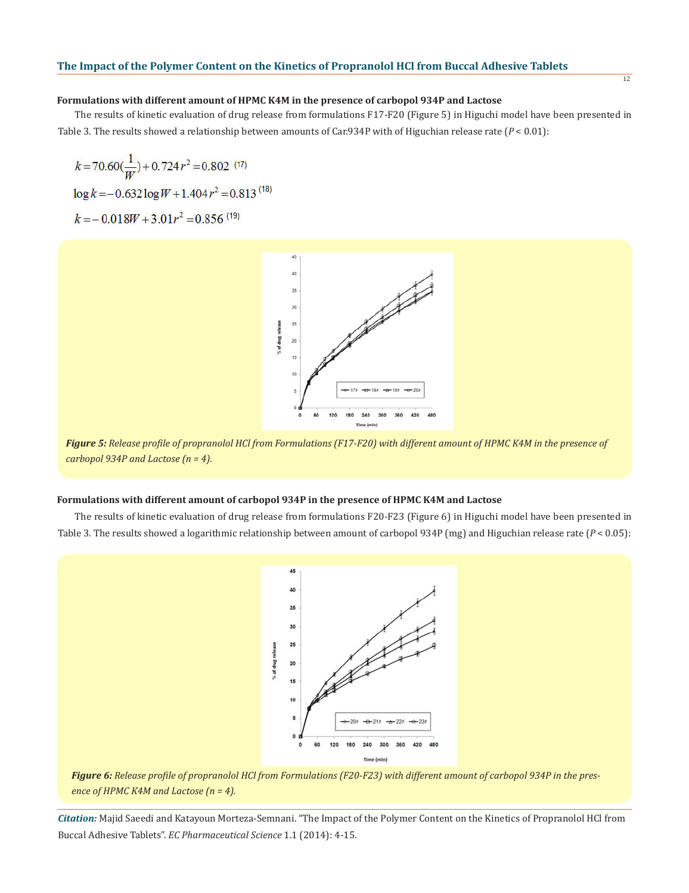#### 12

#### **Formulations with different amount of HPMC K4M in the presence of carbopol 934P and Lactose**

The results of kinetic evaluation of drug release from formulations F17-F20 (Figure 5) in Higuchi model have been presented in Table 3. The results showed a relationship between amounts of Car.934P with of Higuchian release rate (*P* < 0.01):

 $k=70.60(\frac{1}{W})+0.724r^2=0.802$  (17)  $\log k = -0.632 \log W + 1.404 r^2 = 0.813^{(18)}$  $k = -0.018W + 3.01r^2 = 0.856$ <sup>(19)</sup>



*Figure 5: Release profile of propranolol HCl from Formulations (F17-F20) with different amount of HPMC K4M in the presence of carbopol 934P and Lactose (n = 4).*

#### **Formulations with different amount of carbopol 934P in the presence of HPMC K4M and Lactose**

The results of kinetic evaluation of drug release from formulations F20-F23 (Figure 6) in Higuchi model have been presented in Table 3. The results showed a logarithmic relationship between amount of carbopol 934P (mg) and Higuchian release rate (*P* < 0.05):



*Figure 6: Release profile of propranolol HCl from Formulations (F20-F23) with different amount of carbopol 934P in the presence of HPMC K4M and Lactose (n = 4).*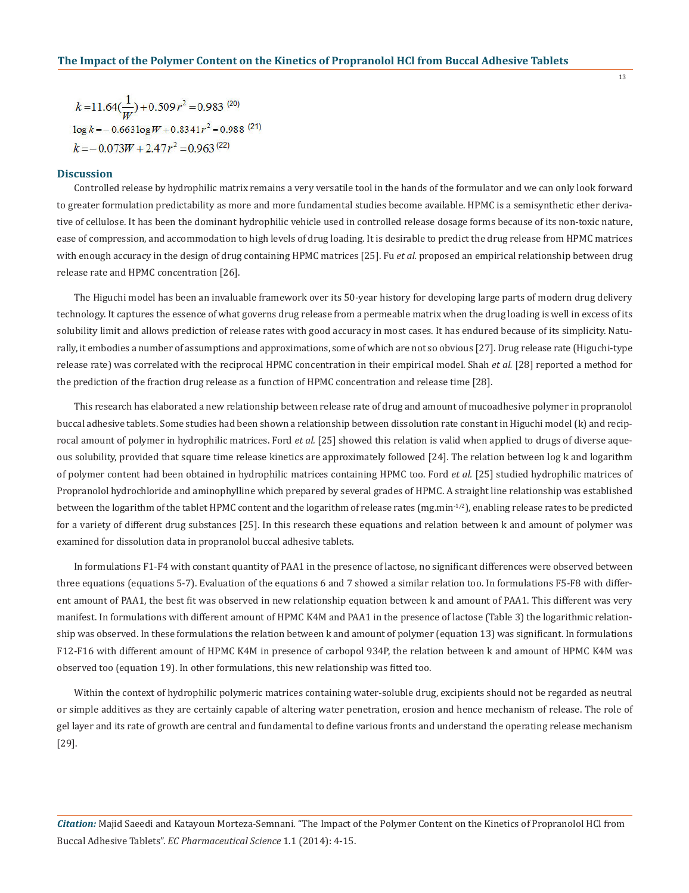$k=11.64(\frac{1}{w})+0.509r^2=0.983^{(20)}$  $\log k = -0.663 \log W + 0.8341 r^2 = 0.988$ <sup>(21)</sup>  $k = -0.073W + 2.47r^2 = 0.963^{(22)}$ 

#### **Discussion**

Controlled release by hydrophilic matrix remains a very versatile tool in the hands of the formulator and we can only look forward to greater formulation predictability as more and more fundamental studies become available. HPMC is a semisynthetic ether derivative of cellulose. It has been the dominant hydrophilic vehicle used in controlled release dosage forms because of its non-toxic nature, ease of compression, and accommodation to high levels of drug loading. It is desirable to predict the drug release from HPMC matrices with enough accuracy in the design of drug containing HPMC matrices [25]. Fu *et al.* proposed an empirical relationship between drug release rate and HPMC concentration [26].

The Higuchi model has been an invaluable framework over its 50-year history for developing large parts of modern drug delivery technology. It captures the essence of what governs drug release from a permeable matrix when the drug loading is well in excess of its solubility limit and allows prediction of release rates with good accuracy in most cases. It has endured because of its simplicity. Naturally, it embodies a number of assumptions and approximations, some of which are not so obvious [27]. Drug release rate (Higuchi-type release rate) was correlated with the reciprocal HPMC concentration in their empirical model. Shah *et al.* [28] reported a method for the prediction of the fraction drug release as a function of HPMC concentration and release time [28].

This research has elaborated a new relationship between release rate of drug and amount of mucoadhesive polymer in propranolol buccal adhesive tablets. Some studies had been shown a relationship between dissolution rate constant in Higuchi model (k) and reciprocal amount of polymer in hydrophilic matrices. Ford *et al.* [25] showed this relation is valid when applied to drugs of diverse aqueous solubility, provided that square time release kinetics are approximately followed [24]. The relation between log k and logarithm of polymer content had been obtained in hydrophilic matrices containing HPMC too. Ford *et al.* [25] studied hydrophilic matrices of Propranolol hydrochloride and aminophylline which prepared by several grades of HPMC. A straight line relationship was established between the logarithm of the tablet HPMC content and the logarithm of release rates (mg.min<sup>-1/2</sup>), enabling release rates to be predicted for a variety of different drug substances [25]. In this research these equations and relation between k and amount of polymer was examined for dissolution data in propranolol buccal adhesive tablets.

In formulations F1-F4 with constant quantity of PAA1 in the presence of lactose, no significant differences were observed between three equations (equations 5-7). Evaluation of the equations 6 and 7 showed a similar relation too. In formulations F5-F8 with different amount of PAA1, the best fit was observed in new relationship equation between k and amount of PAA1. This different was very manifest. In formulations with different amount of HPMC K4M and PAA1 in the presence of lactose (Table 3) the logarithmic relationship was observed. In these formulations the relation between k and amount of polymer (equation 13) was significant. In formulations F12-F16 with different amount of HPMC K4M in presence of carbopol 934P, the relation between k and amount of HPMC K4M was observed too (equation 19). In other formulations, this new relationship was fitted too.

Within the context of hydrophilic polymeric matrices containing water-soluble drug, excipients should not be regarded as neutral or simple additives as they are certainly capable of altering water penetration, erosion and hence mechanism of release. The role of gel layer and its rate of growth are central and fundamental to define various fronts and understand the operating release mechanism [29].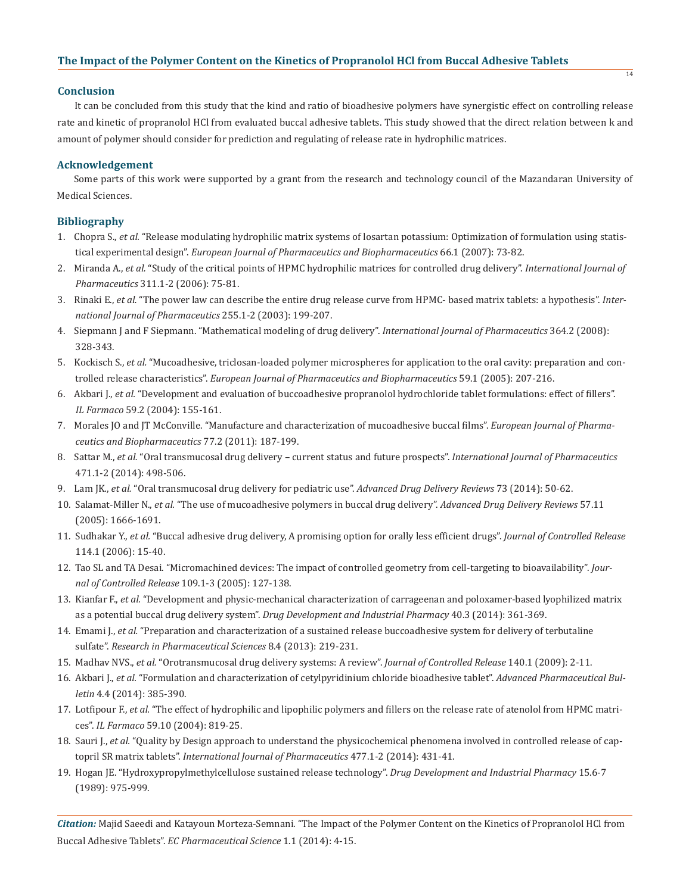#### **Conclusion**

It can be concluded from this study that the kind and ratio of bioadhesive polymers have synergistic effect on controlling release rate and kinetic of propranolol HCl from evaluated buccal adhesive tablets. This study showed that the direct relation between k and amount of polymer should consider for prediction and regulating of release rate in hydrophilic matrices.

# **Acknowledgement**

Some parts of this work were supported by a grant from the research and technology council of the Mazandaran University of Medical Sciences.

# **Bibliography**

- 1. Chopra S., *et al.* "Release modulating hydrophilic matrix systems of losartan potassium: Optimization of formulation using statis tical experimental design". *European Journal of Pharmaceutics and Biopharmaceutics* 66.1 (2007): 73-82.
- 2. Miranda A., *et al.* "Study of the critical points of HPMC hydrophilic matrices for controlled drug delivery". *International Journal of Pharmaceutics* 311.1-2 (2006): 75-81.
- 3. Rinaki E., *et al.* "The power law can describe the entire drug release curve from HPMC- based matrix tablets: a hypothesis". *Inter national Journal of Pharmaceutics* 255.1-2 (2003): 199-207.
- 4. Siepmann J and F Siepmann. "Mathematical modeling of drug delivery". *International Journal of Pharmaceutics* 364.2 (2008): 328-343.
- 5. Kockisch S., *et al.* "Mucoadhesive, triclosan-loaded polymer microspheres for application to the oral cavity: preparation and con trolled release characteristics". *European Journal of Pharmaceutics and Biopharmaceutics* 59.1 (2005): 207-216.
- 6. Akbari J., *et al.* "Development and evaluation of buccoadhesive propranolol hydrochloride tablet formulations: effect of fillers". *IL Farmaco* 59.2 (2004): 155-161.
- 7. Morales JO and JT McConville. "Manufacture and characterization of mucoadhesive buccal films". *European Journal of Pharma ceutics and Biopharmaceutics* 77.2 (2011): 187-199.
- 8. Sattar M., *et al.* "Oral transmucosal drug delivery current status and future prospects". *International Journal of Pharmaceutics* 471.1-2 (2014): 498-506.
- 9. Lam JK., *et al.* "Oral transmucosal drug delivery for pediatric use". *Advanced Drug Delivery Reviews* 73 (2014): 50-62.
- 10. Salamat-Miller N., *et al.* "The use of mucoadhesive polymers in buccal drug delivery". *Advanced Drug Delivery Reviews* 57.11 (2005): 1666-1691.
- 11. Sudhakar Y., *et al.* "Buccal adhesive drug delivery, A promising option for orally less efficient drugs". *Journal of Controlled Release* 114.1 (2006): 15-40.
- 12. Tao SL and TA Desai. "Micromachined devices: The impact of controlled geometry from cell-targeting to bioavailability". *Jour nal of Controlled Release* 109.1-3 (2005): 127-138.
- 13. Kianfar F., *et al.* "Development and physic-mechanical characterization of carrageenan and poloxamer-based lyophilized matrix as a potential buccal drug delivery system". *Drug Development and Industrial Pharmacy* 40.3 (2014): 361-369.
- 14. Emami J., *et al.* "Preparation and characterization of a sustained release buccoadhesive system for delivery of terbutaline sulfate". *Research in Pharmaceutical Sciences* 8.4 (2013): 219-231.
- 15. Madhav NVS., *et al.* "Orotransmucosal drug delivery systems: A review". *Journal of Controlled Release* 140.1 (2009): 2-11.
- 16. Akbari J., *et al.* "Formulation and characterization of cetylpyridinium chloride bioadhesive tablet". *Advanced Pharmaceutical Bul letin* 4.4 (2014): 385-390.
- 17. Lotfipour F., *et al.* "The effect of hydrophilic and lipophilic polymers and fillers on the release rate of atenolol from HPMC matri ces". *IL Farmaco* 59.10 (2004): 819-25.
- 18. Sauri J., *et al.* "Quality by Design approach to understand the physicochemical phenomena involved in controlled release of cap topril SR matrix tablets". *International Journal of Pharmaceutics* 477.1-2 (2014): 431-41.
- 19. Hogan JE. "Hydroxypropylmethylcellulose sustained release technology". *Drug Development and Industrial Pharmacy* 15.6-7 (1989): 975-999.